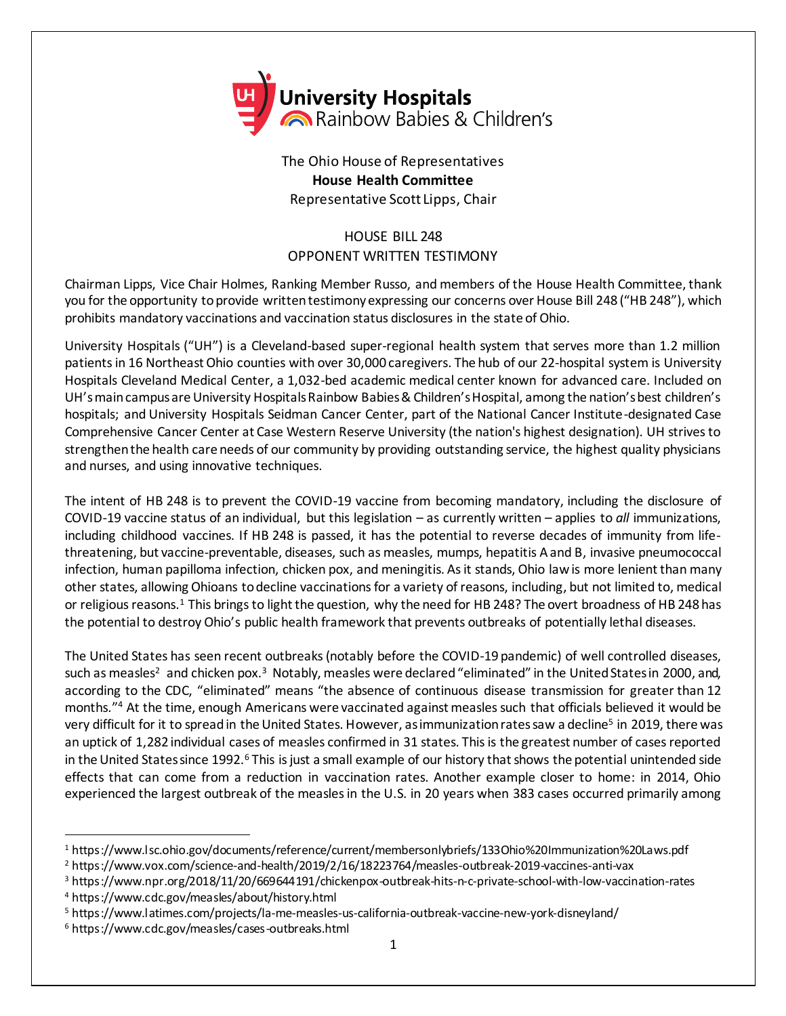

The Ohio House of Representatives **House Health Committee** Representative Scott Lipps, Chair

## HOUSE BILL 248 OPPONENT WRITTEN TESTIMONY

Chairman Lipps, Vice Chair Holmes, Ranking Member Russo, and members of the House Health Committee, thank you for the opportunity to provide written testimony expressing our concerns over House Bill 248 ("HB 248"), which prohibits mandatory vaccinations and vaccination status disclosures in the state of Ohio.

University Hospitals ("UH") is a Cleveland-based super-regional health system that serves more than 1.2 million patients in 16 Northeast Ohio counties with over 30,000 caregivers. The hub of our 22-hospital system is University Hospitals Cleveland Medical Center, a 1,032-bed academic medical center known for advanced care. Included on UH's main campus are University Hospitals Rainbow Babies & Children's Hospital, among the nation's best children's hospitals; and University Hospitals Seidman Cancer Center, part of the National Cancer Institute-designated Case Comprehensive Cancer Center at Case Western Reserve University (the nation's highest designation). UH strives to strengthen the health care needs of our community by providing outstanding service, the highest quality physicians and nurses, and using innovative techniques.

The intent of HB 248 is to prevent the COVID-19 vaccine from becoming mandatory, including the disclosure of COVID-19 vaccine status of an individual, but this legislation – as currently written – applies to *all* immunizations, including childhood vaccines. If HB 248 is passed, it has the potential to reverse decades of immunity from lifethreatening, but vaccine-preventable, diseases, such as measles, mumps, hepatitis A and B, invasive pneumococcal infection, human papilloma infection, chicken pox, and meningitis. As it stands, Ohio law is more lenient than many other states, allowing Ohioans to decline vaccinations for a variety of reasons, including, but not limited to, medical or religious reasons.<sup>1</sup> This brings to light the question, why the need for HB 248? The overt broadness of HB 248 has the potential to destroy Ohio's public health framework that prevents outbreaks of potentially lethal diseases.

The United States has seen recent outbreaks(notably before the COVID-19 pandemic) of well controlled diseases, such as measles<sup>2</sup> and chicken pox.<sup>3</sup> Notably, measles were declared "eliminated" in the United States in 2000, and, according to the CDC, "eliminated" means "the absence of continuous disease transmission for greater than 12 months."<sup>4</sup> At the time, enough Americans were vaccinated against measles such that officials believed it would be very difficult for it to spread in the United States. However, as immunization rates saw a decline<sup>5</sup> in 2019, there was an uptick of 1,282 individual cases of measles confirmed in 31 states. This is the greatest number of cases reported in the United States since 1992.<sup>6</sup> This is just a small example of our history that shows the potential unintended side effects that can come from a reduction in vaccination rates. Another example closer to home: in 2014, Ohio experienced the largest outbreak of the measles in the U.S. in 20 years when 383 cases occurred primarily among

l

<sup>1</sup> https://www.lsc.ohio.gov/documents/reference/current/membersonlybriefs/133Ohio%20Immunization%20Laws.pdf

<sup>2</sup> https://www.vox.com/science-and-health/2019/2/16/18223764/measles-outbreak-2019-vaccines-anti-vax

<sup>3</sup> https://www.npr.org/2018/11/20/669644191/chickenpox-outbreak-hits-n-c-private-school-with-low-vaccination-rates

<sup>4</sup> https://www.cdc.gov/measles/about/history.html

<sup>5</sup> https://www.latimes.com/projects/la-me-measles-us-california-outbreak-vaccine-new-york-disneyland/

<sup>6</sup> https://www.cdc.gov/measles/cases-outbreaks.html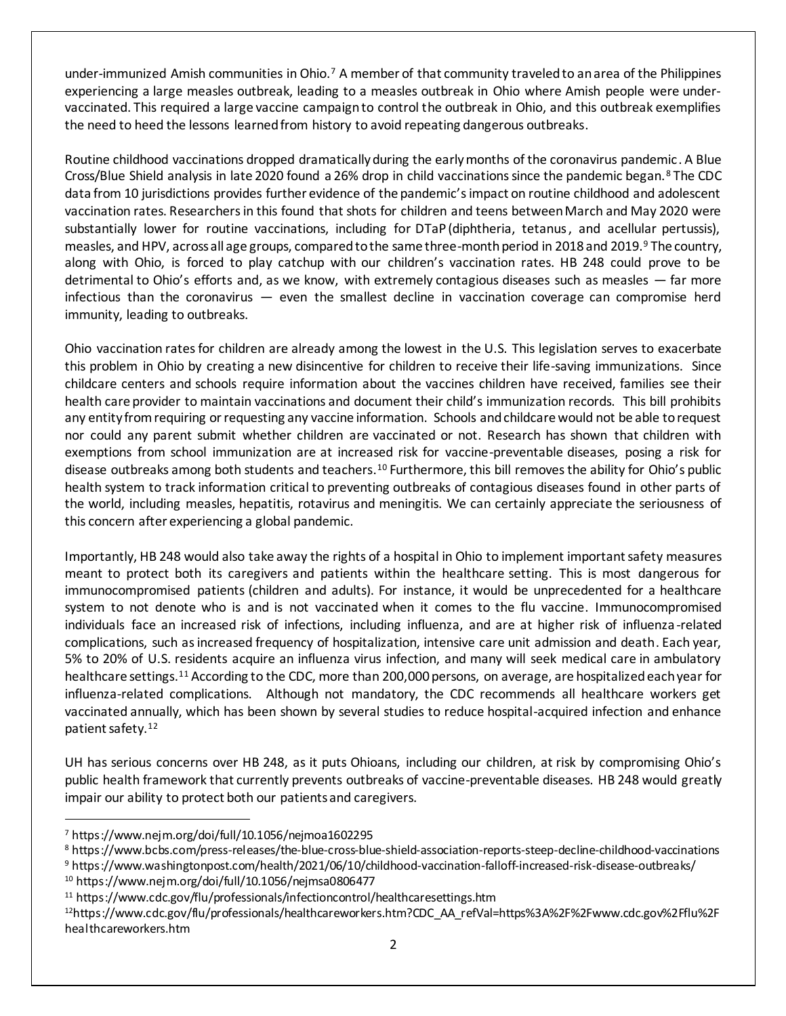under-immunized Amish communities in Ohio.<sup>7</sup> A member of that community traveled to an area of the Philippines experiencing a large measles outbreak, leading to a measles outbreak in Ohio where Amish people were undervaccinated. This required a large vaccine campaign to control the outbreak in Ohio, and this outbreak exemplifies the need to heed the lessons learned from history to avoid repeating dangerous outbreaks.

Routine childhood vaccinations dropped dramatically during the early months of the coronavirus pandemic. A Blue Cross/Blue Shield analysis in late 2020 found a 26% drop in child vaccinations since the pandemic began.<sup>8</sup> The CDC data from 10 jurisdictions provides further evidence of the pandemic's impact on routine childhood and adolescent vaccination rates. Researchers in this found that shots for children and teens between March and May 2020 were substantially lower for routine vaccinations, including for DTaP (diphtheria, tetanus, and acellular pertussis), measles, and HPV, across all age groups, compared to the same three-month period in 2018 and 2019.<sup>9</sup> The country, along with Ohio, is forced to play catchup with our children's vaccination rates. HB 248 could prove to be detrimental to Ohio's efforts and, as we know, with extremely contagious diseases such as measles — far more infectious than the coronavirus — even the smallest decline in vaccination coverage can compromise herd immunity, leading to outbreaks.

Ohio vaccination rates for children are already among the lowest in the U.S. This legislation serves to exacerbate this problem in Ohio by creating a new disincentive for children to receive their life-saving immunizations. Since childcare centers and schools require information about the vaccines children have received, families see their health care provider to maintain vaccinations and document their child's immunization records. This bill prohibits any entity from requiring or requesting any vaccine information. Schools and childcare would not be able to request nor could any parent submit whether children are vaccinated or not. Research has shown that children with exemptions from school immunization are at increased risk for vaccine-preventable diseases, posing a risk for disease outbreaks among both students and teachers.<sup>10</sup> Furthermore, this bill removes the ability for Ohio's public health system to track information critical to preventing outbreaks of contagious diseases found in other parts of the world, including measles, hepatitis, rotavirus and meningitis. We can certainly appreciate the seriousness of this concern after experiencing a global pandemic.

Importantly, HB 248 would also take away the rights of a hospital in Ohio to implement important safety measures meant to protect both its caregivers and patients within the healthcare setting. This is most dangerous for immunocompromised patients (children and adults). For instance, it would be unprecedented for a healthcare system to not denote who is and is not vaccinated when it comes to the flu vaccine. Immunocompromised individuals face an increased risk of infections, including influenza, and are at higher risk of influenza-related complications, such as increased frequency of hospitalization, intensive care unit admission and death. Each year, 5% to 20% of U.S. residents acquire an influenza virus infection, and many will seek medical care in ambulatory healthcare settings.<sup>11</sup> According to the CDC, more than 200,000 persons, on average, are hospitalized each year for influenza-related complications. Although not mandatory, the CDC recommends all healthcare workers get vaccinated annually, which has been shown by several studies to reduce hospital-acquired infection and enhance patient safety.<sup>12</sup>

UH has serious concerns over HB 248, as it puts Ohioans, including our children, at risk by compromising Ohio's public health framework that currently prevents outbreaks of vaccine-preventable diseases. HB 248 would greatly impair our ability to protect both our patients and caregivers.

l

<sup>7</sup> https://www.nejm.org/doi/full/10.1056/nejmoa1602295

<sup>8</sup> https://www.bcbs.com/press-releases/the-blue-cross-blue-shield-association-reports-steep-decline-childhood-vaccinations

<sup>9</sup> https://www.washingtonpost.com/health/2021/06/10/childhood-vaccination-falloff-increased-risk-disease-outbreaks/

<sup>10</sup> https://www.nejm.org/doi/full/10.1056/nejmsa0806477

<sup>11</sup> https://www.cdc.gov/flu/professionals/infectioncontrol/healthcaresettings.htm

<sup>12</sup>https://www.cdc.gov/flu/professionals/healthcareworkers.htm?CDC\_AA\_refVal=https%3A%2F%2Fwww.cdc.gov%2Fflu%2F healthcareworkers.htm